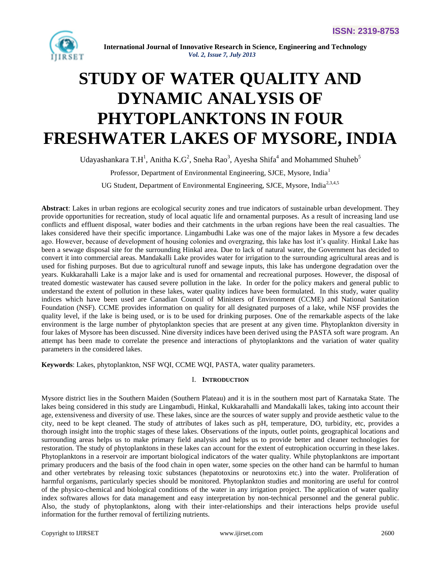

# **STUDY OF WATER QUALITY AND DYNAMIC ANALYSIS OF PHYTOPLANKTONS IN FOUR FRESHWATER LAKES OF MYSORE, INDIA**

Udayashankara T.H<sup>1</sup>, Anitha K.G<sup>2</sup>, Sneha Rao<sup>3</sup>, Ayesha Shifa<sup>4</sup> and Mohammed Shuheb<sup>5</sup>

Professor, Department of Environmental Engineering, SJCE, Mysore, India<sup>1</sup>

UG Student, Department of Environmental Engineering, SJCE, Mysore, India<sup>2,3,4,5</sup>

**Abstract**: Lakes in urban regions are ecological security zones and true indicators of sustainable urban development. They provide opportunities for recreation, study of local aquatic life and ornamental purposes. As a result of increasing land use conflicts and effluent disposal, water bodies and their catchments in the urban regions have been the real casualties. The lakes considered have their specific importance. Lingambudhi Lake was one of the major lakes in Mysore a few decades ago. However, because of development of housing colonies and overgrazing, this lake has lost it's quality. Hinkal Lake has been a sewage disposal site for the surrounding Hinkal area. Due to lack of natural water, the Government has decided to convert it into commercial areas. Mandakalli Lake provides water for irrigation to the surrounding agricultural areas and is used for fishing purposes. But due to agricultural runoff and sewage inputs, this lake has undergone degradation over the years. Kukkarahalli Lake is a major lake and is used for ornamental and recreational purposes. However, the disposal of treated domestic wastewater has caused severe pollution in the lake. In order for the policy makers and general public to understand the extent of pollution in these lakes, water quality indices have been formulated. In this study, water quality indices which have been used are Canadian Council of Ministers of Environment (CCME) and National Sanitation Foundation (NSF). CCME provides information on quality for all designated purposes of a lake, while NSF provides the quality level, if the lake is being used, or is to be used for drinking purposes. One of the remarkable aspects of the lake environment is the large number of phytoplankton species that are present at any given time. Phytoplankton diversity in four lakes of Mysore has been discussed. Nine diversity indices have been derived using the PASTA soft ware program. An attempt has been made to correlate the presence and interactions of phytoplanktons and the variation of water quality parameters in the considered lakes.

**Keywords**: Lakes, phytoplankton, NSF WQI, CCME WQI, PASTA, water quality parameters.

### I. **INTRODUCTION**

Mysore district lies in the Southern Maiden (Southern Plateau) and it is in the southern most part of Karnataka State. The lakes being considered in this study are Lingambudi, Hinkal, Kukkarahalli and Mandakalli lakes, taking into account their age, extensiveness and diversity of use. These lakes, since are the sources of water supply and provide aesthetic value to the city, need to be kept cleaned. The study of attributes of lakes such as pH, temperature, DO, turbidity, etc, provides a thorough insight into the trophic stages of these lakes. Observations of the inputs, outlet points, geographical locations and surrounding areas helps us to make primary field analysis and helps us to provide better and cleaner technologies for restoration. The study of phytoplanktons in these lakes can account for the extent of eutrophication occurring in these lakes. Phytoplanktons in a reservoir are important biological indicators of the water quality. While phytoplanktons are important primary producers and the basis of the food chain in open water, some species on the other hand can be harmful to human and other vertebrates by releasing toxic substances (hepatotoxins or neurotoxins etc.) into the water. Proliferation of harmful organisms, particularly species should be monitored. Phytoplankton studies and monitoring are useful for control of the physico-chemical and biological conditions of the water in any irrigation project. The application of water quality index softwares allows for data management and easy interpretation by non-technical personnel and the general public. Also, the study of phytoplanktons, along with their inter-relationships and their interactions helps provide useful information for the further removal of fertilizing nutrients.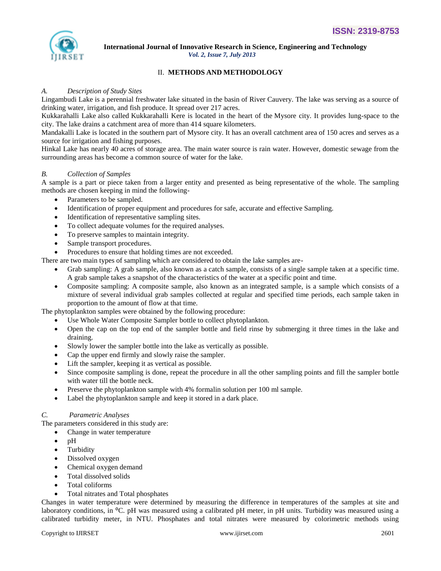

## II. **METHODS AND METHODOLOGY**

#### *A. Description of Study Sites*

Lingambudi Lake is a perennial freshwater lake situated in the basin of River Cauvery. The lake was serving as a source of drinking water, irrigation, and fish produce. It spread over 217 acres.

Kukkarahalli Lake also called Kukkarahalli Kere is located in the heart of the Mysore city. It provides lung-space to the city. The lake drains a catchment area of more than 414 square kilometers.

Mandakalli Lake is located in the southern part of Mysore city. It has an overall catchment area of 150 acres and serves as a source for irrigation and fishing purposes.

Hinkal Lake has nearly 40 acres of storage area. The main water source is rain water. However, domestic sewage from the surrounding areas has become a common source of water for the lake.

#### *B. Collection of Samples*

A sample is a part or piece taken from a larger entity and presented as being representative of the whole. The sampling methods are chosen keeping in mind the following-

- Parameters to be sampled.
- Identification of proper equipment and procedures for safe, accurate and effective Sampling.
- Identification of representative sampling sites.
- To collect adequate volumes for the required analyses.
- To preserve samples to maintain integrity.
- Sample transport procedures.
- Procedures to ensure that holding times are not exceeded.

There are two main types of sampling which are considered to obtain the lake samples are-

- Grab sampling: A grab sample, also known as a catch sample, consists of a single sample taken at a specific time. A grab sample takes a snapshot of the characteristics of the water at a specific point and time.
- Composite sampling: A composite sample, also known as an integrated sample, is a sample which consists of a mixture of several individual grab samples collected at regular and specified time periods, each sample taken in proportion to the amount of flow at that time.

The phytoplankton samples were obtained by the following procedure:

- Use Whole Water Composite Sampler bottle to collect phytoplankton.
- Open the cap on the top end of the sampler bottle and field rinse by submerging it three times in the lake and draining.
- Slowly lower the sampler bottle into the lake as vertically as possible.
- Cap the upper end firmly and slowly raise the sampler.
- Lift the sampler, keeping it as vertical as possible.
- Since composite sampling is done, repeat the procedure in all the other sampling points and fill the sampler bottle with water till the bottle neck.
- Preserve the phytoplankton sample with 4% formalin solution per 100 ml sample.
- Label the phytoplankton sample and keep it stored in a dark place.

#### *C. Parametric Analyses*

The parameters considered in this study are:

- Change in water temperature
- pH
- Turbidity
- Dissolved oxygen
- Chemical oxygen demand
- Total dissolved solids
- Total coliforms
- Total nitrates and Total phosphates

Changes in water temperature were determined by measuring the difference in temperatures of the samples at site and laboratory conditions, in <sup>o</sup>C. pH was measured using a calibrated pH meter, in pH units. Turbidity was measured using a calibrated turbidity meter, in NTU. Phosphates and total nitrates were measured by colorimetric methods using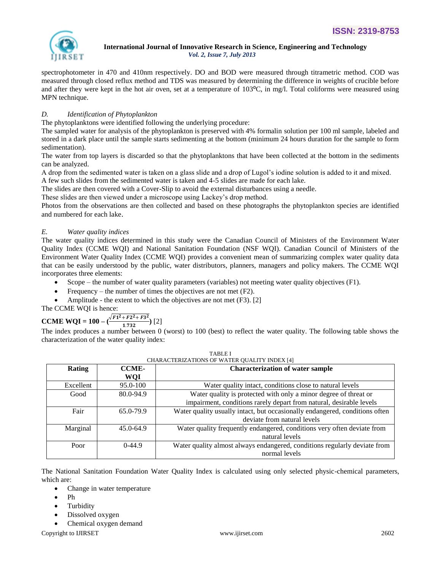

spectrophotometer in 470 and 410nm respectively. DO and BOD were measured through titrametric method. COD was measured through closed reflux method and TDS was measured by determining the difference in weights of crucible before and after they were kept in the hot air oven, set at a temperature of  $103^{\circ}$ C, in mg/l. Total coliforms were measured using MPN technique.

## *D. Identification of Phytoplankton*

The phytoplanktons were identified following the underlying procedure:

The sampled water for analysis of the phytoplankton is preserved with 4% formalin solution per 100 ml sample, labeled and stored in a dark place until the sample starts sedimenting at the bottom (minimum 24 hours duration for the sample to form sedimentation).

The water from top layers is discarded so that the phytoplanktons that have been collected at the bottom in the sediments can be analyzed.

A drop from the sedimented water is taken on a glass slide and a drop of Lugol's iodine solution is added to it and mixed.

A few such slides from the sedimented water is taken and 4-5 slides are made for each lake.

The slides are then covered with a Cover-Slip to avoid the external disturbances using a needle.

These slides are then viewed under a microscope using Lackey's drop method.

Photos from the observations are then collected and based on these photographs the phytoplankton species are identified and numbered for each lake.

## *E. Water quality indices*

The water quality indices determined in this study were the Canadian Council of Ministers of the Environment Water Quality Index (CCME WQI) and National Sanitation Foundation (NSF WQI). Canadian Council of Ministers of the Environment Water Quality Index (CCME WQI) provides a convenient mean of summarizing complex water quality data that can be easily understood by the public, water distributors, planners, managers and policy makers. The CCME WQI incorporates three elements:

- Scope the number of water quality parameters (variables) not meeting water quality objectives (F1).
- Frequency the number of times the objectives are not met (F2).
- Amplitude the extent to which the objectives are not met (F3). [2]

## The CCME WQI is hence:

#### **CCME WQI = 100 –**  $\frac{\sqrt{F_1^2 + F_2^2 + F_3^2}}{1.733}$  $\frac{+r^2-r^3}{1.732}$  [2]

The index produces a number between 0 (worst) to 100 (best) to reflect the water quality. The following table shows the characterization of the water quality index:

| <b>Rating</b> | <b>Characterization of water sample</b><br><b>CCME-</b> |                                                                             |  |
|---------------|---------------------------------------------------------|-----------------------------------------------------------------------------|--|
|               | WQI                                                     |                                                                             |  |
| Excellent     | 95.0-100                                                | Water quality intact, conditions close to natural levels                    |  |
| Good          | 80.0-94.9                                               | Water quality is protected with only a minor degree of threat or            |  |
|               |                                                         | impairment, conditions rarely depart from natural, desirable levels         |  |
| Fair          | 65.0-79.9                                               | Water quality usually intact, but occasionally endangered, conditions often |  |
|               |                                                         | deviate from natural levels                                                 |  |
| Marginal      | $45.0 - 64.9$                                           | Water quality frequently endangered, conditions very often deviate from     |  |
|               |                                                         | natural levels                                                              |  |
| Poor          | $0-44.9$                                                | Water quality almost always endangered, conditions regularly deviate from   |  |
|               |                                                         | normal levels                                                               |  |

| <b>TABLE I</b>                           |  |
|------------------------------------------|--|
| 'HARACTERIZATIONS OF WATER OHALITY INDE' |  |

The National Sanitation Foundation Water Quality Index is calculated using only selected physic-chemical parameters, which are:

- Change in water temperature
- Ph
- Turbidity
- Dissolved oxygen
- Chemical oxygen demand

Copyright to IJIRSET [www.ijirset.com](http://www.ijirset.com/) 2602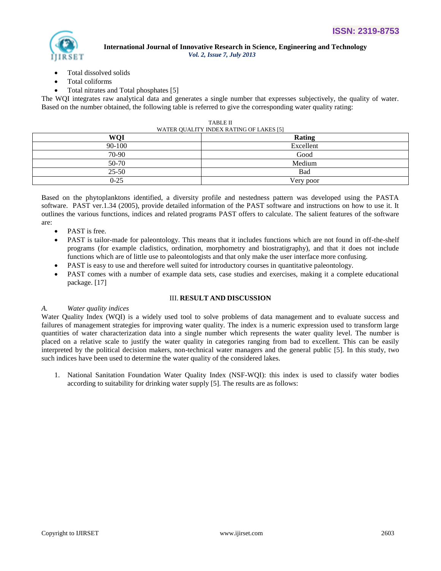

- Total dissolved solids
- Total coliforms
- Total nitrates and Total phosphates [5]

The WQI integrates raw analytical data and generates a single number that expresses subjectively, the quality of water. Based on the number obtained, the following table is referred to give the corresponding water quality rating:

| WATER QUALITT INDEX RATING OF LARES [3] |           |  |  |  |
|-----------------------------------------|-----------|--|--|--|
| <b>WOI</b>                              | Rating    |  |  |  |
| 90-100                                  | Excellent |  |  |  |
| 70-90                                   | Good      |  |  |  |
| 50-70                                   | Medium    |  |  |  |
| $25 - 50$                               | Bad       |  |  |  |
| $0 - 25$                                | Very poor |  |  |  |

| <b>TABLE II</b>                         |  |  |  |  |
|-----------------------------------------|--|--|--|--|
| WATER QUALITY INDEX RATING OF LAKES [5] |  |  |  |  |

Based on the phytoplanktons identified, a diversity profile and nestedness pattern was developed using the PASTA software. PAST ver.1.34 (2005), provide detailed information of the PAST software and instructions on how to use it. It outlines the various functions, indices and related programs PAST offers to calculate. The salient features of the software are:

- PAST is free.
- PAST is tailor-made for paleontology. This means that it includes functions which are not found in off-the-shelf programs (for example cladistics, ordination, morphometry and biostratigraphy), and that it does not include functions which are of little use to paleontologists and that only make the user interface more confusing.
- PAST is easy to use and therefore well suited for introductory courses in quantitative paleontology.
- PAST comes with a number of example data sets, case studies and exercises, making it a complete educational package. [17]

### III. **RESULT AND DISCUSSION**

## *A. Water quality indices*

Water Quality Index (WQI) is a widely used tool to solve problems of data management and to evaluate success and failures of management strategies for improving water quality. The index is a numeric expression used to transform large quantities of water characterization data into a single number which represents the water quality level. The number is placed on a relative scale to justify the water quality in categories ranging from bad to excellent. This can be easily interpreted by the political decision makers, non-technical water managers and the general public [5]*.* In this study, two such indices have been used to determine the water quality of the considered lakes.

1. National Sanitation Foundation Water Quality Index (NSF-WQI): this index is used to classify water bodies according to suitability for drinking water supply [5]. The results are as follows: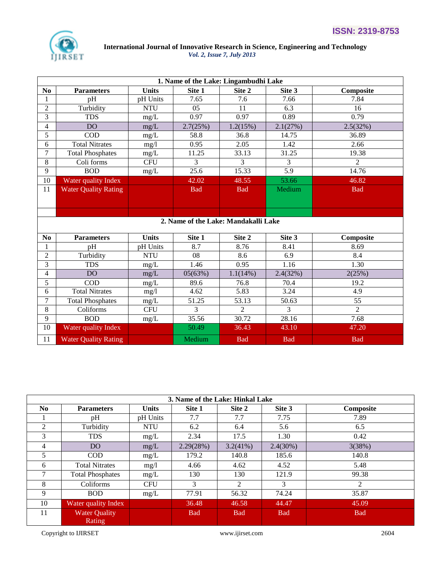

|                          | 1. Name of the Lake: Lingambudhi Lake |              |                                      |                |            |                |  |
|--------------------------|---------------------------------------|--------------|--------------------------------------|----------------|------------|----------------|--|
| N <sub>0</sub>           | <b>Parameters</b>                     | <b>Units</b> | Site 1                               | Site 2         | Site 3     | Composite      |  |
| 1                        | pH                                    | pH Units     | 7.65                                 | 7.6            | 7.66       | 7.84           |  |
| $\overline{c}$           | Turbidity                             | <b>NTU</b>   | 05                                   | 11             | 6.3        | 16             |  |
| 3                        | <b>TDS</b>                            | mg/L         | 0.97                                 | 0.97           | 0.89       | 0.79           |  |
| $\overline{\mathcal{L}}$ | D <sub>O</sub>                        | mg/L         | 2.7(25%)                             | 1.2(15%)       | 2.1(27%)   | 2.5(32%)       |  |
| 5                        | <b>COD</b>                            | mg/L         | 58.8                                 | 36.8           | 14.75      | 36.89          |  |
| 6                        | <b>Total Nitrates</b>                 | mg/l         | 0.95                                 | 2.05           | 1.42       | 2.66           |  |
| $\overline{7}$           | <b>Total Phosphates</b>               | $mg/L$       | 11.25                                | 33.13          | 31.25      | 19.38          |  |
| 8                        | Coli forms                            | <b>CFU</b>   | 3                                    | 3              | 3          | $\overline{2}$ |  |
| 9                        | <b>BOD</b>                            | mg/L         | 25.6                                 | 15.33          | 5.9        | 14.76          |  |
| 10                       | Water quality Index                   |              | 42.02                                | 48.55          | 53.66      | 46.82          |  |
| 11                       | <b>Water Quality Rating</b>           |              | <b>Bad</b>                           | <b>Bad</b>     | Medium     | <b>Bad</b>     |  |
|                          |                                       |              |                                      |                |            |                |  |
|                          |                                       |              |                                      |                |            |                |  |
|                          |                                       |              | 2. Name of the Lake: Mandakalli Lake |                |            |                |  |
|                          |                                       |              |                                      |                |            |                |  |
| N <sub>0</sub>           | <b>Parameters</b>                     | <b>Units</b> | Site 1                               | Site 2         | Site 3     | Composite      |  |
| $\mathbf{1}$             | pH                                    | pH Units     | 8.7                                  | 8.76           | 8.41       | 8.69           |  |
| $\overline{c}$           | Turbidity                             | <b>NTU</b>   | 08                                   | 8.6            | 6.9        | 8.4            |  |
| 3                        | <b>TDS</b>                            | mg/L         | 1.46                                 | 0.95           | 1.16       | 1.30           |  |
| $\overline{4}$           | DO <sub>1</sub>                       | mg/L         | 05(63%)                              | 1.1(14%)       | 2.4(32%)   | 2(25%)         |  |
| 5                        | <b>COD</b>                            | mg/L         | 89.6                                 | 76.8           | 70.4       | 19.2           |  |
| 6                        | <b>Total Nitrates</b>                 | mg/l         | 4.62                                 | 5.83           | 3.24       | 4.9            |  |
| 7                        | <b>Total Phosphates</b>               | mg/L         | 51.25                                | 53.13          | 50.63      | 55             |  |
| 8                        | Coliforms                             | <b>CFU</b>   | 3                                    | $\overline{2}$ | 3          | $\overline{2}$ |  |
| 9                        | <b>BOD</b>                            | mg/L         | 35.56                                | 30.72          | 28.16      | 7.68           |  |
| 10                       | Water quality Index                   |              | 50.49                                | 36.43          | 43.10      | 47.20          |  |
| 11                       | <b>Water Quality Rating</b>           |              | Medium                               | <b>Bad</b>     | <b>Bad</b> | <b>Bad</b>     |  |

| 3. Name of the Lake: Hinkal Lake |                         |              |            |             |               |            |  |
|----------------------------------|-------------------------|--------------|------------|-------------|---------------|------------|--|
| N <sub>0</sub>                   | <b>Parameters</b>       | <b>Units</b> | Site 1     | Site 2      | Site 3        | Composite  |  |
|                                  | pH                      | pH Units     | 7.7        | 7.7         | 7.75          | 7.89       |  |
| 2                                | Turbidity               | <b>NTU</b>   | 6.2        | 6.4         | 5.6           | 6.5        |  |
| 3                                | <b>TDS</b>              | mg/L         | 2.34       | 17.5        | 1.30          | 0.42       |  |
| 4                                | DO.                     | mg/L         | 2.29(28%)  | $3.2(41\%)$ | 2.4(30%)      | 3(38%)     |  |
| 5                                | <b>COD</b>              | mg/L         | 179.2      | 140.8       | 185.6         | 140.8      |  |
| 6                                | <b>Total Nitrates</b>   | mg/l         | 4.66       | 4.62        | 4.52          | 5.48       |  |
|                                  | <b>Total Phosphates</b> | mg/L         | 130        | 130         | 121.9         | 99.38      |  |
| 8                                | Coliforms               | <b>CFU</b>   | 3          | 2           | $\mathcal{E}$ | 2          |  |
| 9                                | <b>BOD</b>              | mg/L         | 77.91      | 56.32       | 74.24         | 35.87      |  |
| 10                               | Water quality Index     |              | 36.48      | 46.58       | 44.47         | 45.09      |  |
| 11                               | <b>Water Quality</b>    |              | <b>Bad</b> | <b>Bad</b>  | <b>Bad</b>    | <b>Bad</b> |  |
|                                  | Rating                  |              |            |             |               |            |  |

Copyright to IJIRSET [www.ijirset.com](http://www.ijirset.com/) 2604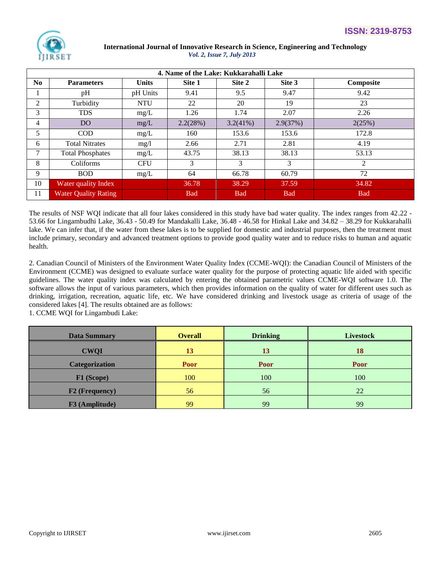

| 4. Name of the Lake: Kukkarahalli Lake |                             |              |            |             |            |            |  |
|----------------------------------------|-----------------------------|--------------|------------|-------------|------------|------------|--|
| No                                     | <b>Parameters</b>           | <b>Units</b> | Site 1     | Site 2      | Site 3     | Composite  |  |
|                                        | pH                          | pH Units     | 9.41       | 9.5         | 9.47       | 9.42       |  |
| 2                                      | Turbidity                   | <b>NTU</b>   | 22         | 20          | 19         | 23         |  |
| 3                                      | <b>TDS</b>                  | mg/L         | 1.26       | 1.74        | 2.07       | 2.26       |  |
| 4                                      | DO.                         | mg/L         | 2.2(28%)   | $3.2(41\%)$ | 2.9(37%)   | 2(25%)     |  |
| 5                                      | <b>COD</b>                  | mg/L         | 160        | 153.6       | 153.6      | 172.8      |  |
| 6                                      | <b>Total Nitrates</b>       | mg/1         | 2.66       | 2.71        | 2.81       | 4.19       |  |
| 7                                      | <b>Total Phosphates</b>     | mg/L         | 43.75      | 38.13       | 38.13      | 53.13      |  |
| 8                                      | Coliforms                   | <b>CFU</b>   | 3          | 3           | 3          | 2          |  |
| 9                                      | <b>BOD</b>                  | mg/L         | 64         | 66.78       | 60.79      | 72         |  |
| 10                                     | Water quality Index         |              | 36.78      | 38.29       | 37.59      | 34.82      |  |
| 11                                     | <b>Water Quality Rating</b> |              | <b>Bad</b> | <b>Bad</b>  | <b>Bad</b> | <b>Bad</b> |  |

The results of NSF WQI indicate that all four lakes considered in this study have bad water quality. The index ranges from 42.22 - 53.66 for Lingambudhi Lake, 36.43 - 50.49 for Mandakalli Lake, 36.48 - 46.58 for Hinkal Lake and 34.82 – 38.29 for Kukkarahalli lake. We can infer that, if the water from these lakes is to be supplied for domestic and industrial purposes, then the treatment must include primary, secondary and advanced treatment options to provide good quality water and to reduce risks to human and aquatic health.

2. Canadian Council of Ministers of the Environment Water Quality Index (CCME-WQI): the Canadian Council of Ministers of the Environment (CCME) was designed to evaluate surface water quality for the purpose of protecting aquatic life aided with specific guidelines. The water quality index was calculated by entering the obtained parametric values CCME-WQI software 1.0. The software allows the input of various parameters, which then provides information on the quality of water for different uses such as drinking, irrigation, recreation, aquatic life, etc. We have considered drinking and livestock usage as criteria of usage of the considered lakes [4]. The results obtained are as follows:

1. CCME WQI for Lingambudi Lake:

| <b>Data Summary</b>   | <b>Overall</b> | <b>Drinking</b> | <b>Livestock</b> |
|-----------------------|----------------|-----------------|------------------|
| <b>CWQI</b>           | 13             | 13              | 18               |
| <b>Categorization</b> | <b>Poor</b>    | Poor            | Poor             |
| F1 (Scope)            | 100            | 100             | 100              |
| <b>F2</b> (Frequency) | 56             | 56              | 22               |
| F3 (Amplitude)        | 99             | 99              | 99               |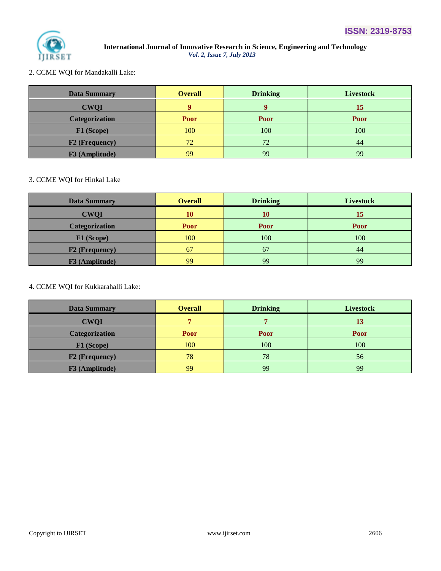

2. CCME WQI for Mandakalli Lake:

| <b>Data Summary</b>   | <b>Overall</b> | <b>Drinking</b> | <b>Livestock</b> |
|-----------------------|----------------|-----------------|------------------|
| <b>CWQI</b>           |                |                 | 15               |
| <b>Categorization</b> | Poor           | <b>Poor</b>     | Poor             |
| F1 (Scope)            | 100            | 100             | 100              |
| <b>F2</b> (Frequency) | 72             | 72              | 44               |
| F3 (Amplitude)        | 99             | 99              | 99               |

## 3. CCME WQI for Hinkal Lake

| <b>Data Summary</b>   | <b>Overall</b> | <b>Drinking</b> | <b>Livestock</b> |
|-----------------------|----------------|-----------------|------------------|
| <b>CWQI</b>           | 10             | 10              | 15               |
| <b>Categorization</b> | Poor           | Poor            | <b>Poor</b>      |
| F1 (Scope)            | 100            | 100             | 100              |
| F2 (Frequency)        | 67             | 67              | 44               |
| F3 (Amplitude)        | 99             | 99              | 99               |

## 4. CCME WQI for Kukkarahalli Lake:

| <b>Data Summary</b>   | <b>Overall</b> | <b>Drinking</b> | <b>Livestock</b> |
|-----------------------|----------------|-----------------|------------------|
| <b>CWQI</b>           |                |                 |                  |
| <b>Categorization</b> | <b>Poor</b>    | Poor            | Poor             |
| F1 (Scope)            | 100            | 100             | 100              |
| <b>F2</b> (Frequency) | 78             | 78              | 56               |
| F3 (Amplitude)        | 99             | 99              | 99               |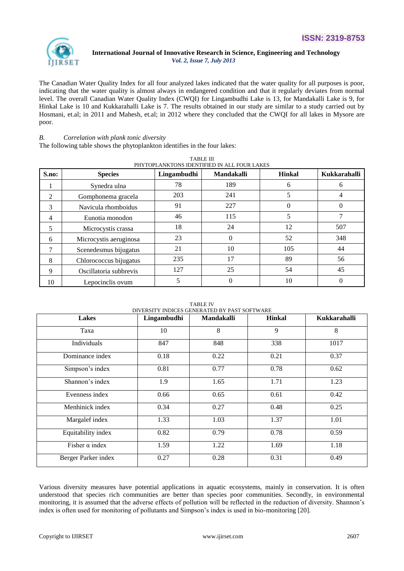

The Canadian Water Quality Index for all four analyzed lakes indicated that the water quality for all purposes is poor, indicating that the water quality is almost always in endangered condition and that it regularly deviates from normal level. The overall Canadian Water Quality Index (CWQI) for Lingambudhi Lake is 13, for Mandakalli Lake is 9, for Hinkal Lake is 10 and Kukkarahalli Lake is 7. The results obtained in our study are similar to a study carried out by Hosmani, et.al; in 2011 and Mahesh, et.al; in 2012 where they concluded that the CWQI for all lakes in Mysore are poor.

TABLE III

## *B. Correlation with plank tonic diversity*

The following table shows the phytoplankton identifies in the four lakes:

|                |                        | 1 ADLE III  | PHYTOPLANKTONS IDENTIFIED IN ALL FOUR LAKES |               |              |
|----------------|------------------------|-------------|---------------------------------------------|---------------|--------------|
| S.no:          | <b>Species</b>         | Lingambudhi | <b>Mandakalli</b>                           | <b>Hinkal</b> | Kukkarahalli |
|                | Synedra ulna           | 78          | 189                                         | 6             | 6            |
| $\overline{2}$ | Gomphonema gracela     | 203         | 241                                         | 5             |              |
| 3              | Navicula rhomboidus    | 91          | 227                                         | $\theta$      | 0            |
| 4              | Eunotia monodon        | 46          | 115                                         | 5             |              |
| 5              | Microcystis crassa     | 18          | 24                                          | 12            | 507          |
| 6              | Microcystis aeruginosa | 23          | $\Omega$                                    | 52            | 348          |
| 7              | Scenedesmus bijugatus  | 21          | 10                                          | 105           | 44           |
| 8              | Chlorococcus bijugatus | 235         | 17                                          | 89            | 56           |
| 9              | Oscillatoria subbrevis | 127         | 25                                          | 54            | 45           |
| 10             | Lepocinclis ovum       |             | $\Omega$                                    | 10            | 0            |

TABLE IV DIVERSITY INDICES GENERATED BY PAST SOFTWARE

| <b>Lakes</b>          | Lingambudhi | <b>Mandakalli</b> | <b>Hinkal</b> | Kukkarahalli |
|-----------------------|-------------|-------------------|---------------|--------------|
| Taxa                  | 10          | 8                 | 9             | 8            |
| Individuals           | 847         | 848               | 338           | 1017         |
| Dominance index       | 0.18        | 0.22              | 0.21          | 0.37         |
| Simpson's index       | 0.81        | 0.77              | 0.78          | 0.62         |
| Shannon's index       | 1.9         | 1.65              | 1.71          | 1.23         |
| Evenness index        | 0.66        | 0.65              | 0.61          | 0.42         |
| Menhinick index       | 0.34        | 0.27              | 0.48          | 0.25         |
| Margalef index        | 1.33        | 1.03              | 1.37          | 1.01         |
| Equitability index    | 0.82        | 0.79              | 0.78          | 0.59         |
| Fisher $\alpha$ index | 1.59        | 1.22              | 1.69          | 1.18         |
| Berger Parker index   | 0.27        | 0.28              | 0.31          | 0.49         |

Various diversity measures have potential applications in aquatic ecosystems, mainly in conservation. It is often understood that species rich communities are better than species poor communities. Secondly, in environmental monitoring, it is assumed that the adverse effects of pollution will be reflected in the reduction of diversity. Shannon's index is often used for monitoring of pollutants and Simpson's index is used in bio-monitoring [20].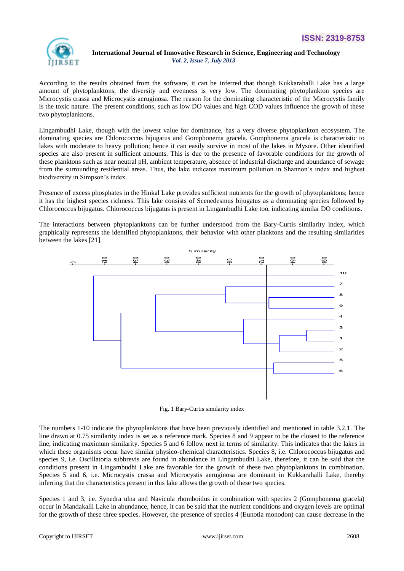

According to the results obtained from the software, it can be inferred that though Kukkarahalli Lake has a large amount of phytoplanktons, the diversity and evenness is very low. The dominating phytoplankton species are Microcystis crassa and Microcystis aeruginosa. The reason for the dominating characteristic of the Microcystis family is the toxic nature. The present conditions, such as low DO values and high COD values influence the growth of these two phytoplanktons.

Lingambudhi Lake, though with the lowest value for dominance, has a very diverse phytoplankton ecosystem. The dominating species are Chlorococcus bijugatus and Gomphonema gracela. Gomphonema gracela is characteristic to lakes with moderate to heavy pollution; hence it can easily survive in most of the lakes in Mysore. Other identified species are also present in sufficient amounts. This is due to the presence of favorable conditions for the growth of these planktons such as near neutral pH, ambient temperature, absence of industrial discharge and abundance of sewage from the surrounding residential areas. Thus, the lake indicates maximum pollution in Shannon's index and highest biodiversity in Simpson's index.

Presence of excess phosphates in the Hinkal Lake provides sufficient nutrients for the growth of phytoplanktons; hence it has the highest species richness. This lake consists of Scenedesmus bijugatus as a dominating species followed by Chlorococcus bijugatus. Chlorococcus bijugatus is present in Lingambudhi Lake too, indicating similar DO conditions.

The interactions between phytoplanktons can be further understood from the Bary-Curtis similarity index, which graphically represents the identified phytoplanktons, their behavior with other planktons and the resulting similarities between the lakes [21].



Fig. 1 Bary-Curtis similarity index

The numbers 1-10 indicate the phytoplanktons that have been previously identified and mentioned in table 3.2.1. The line drawn at 0.75 similarity index is set as a reference mark. Species 8 and 9 appear to be the closest to the reference line, indicating maximum similarity. Species 5 and 6 follow next in terms of similarity. This indicates that the lakes in which these organisms occur have similar physico-chemical characteristics. Species 8, i.e. Chlorococcus bijugatus and species 9, i.e. Oscillatoria subbrevis are found in abundance in Lingambudhi Lake, therefore, it can be said that the conditions present in Lingambudhi Lake are favorable for the growth of these two phytoplanktons in combination. Species 5 and 6, i.e. Microcystis crassa and Microcystis aeruginosa are dominant in Kukkarahalli Lake, thereby inferring that the characteristics present in this lake allows the growth of these two species.

Species 1 and 3, i.e. Synedra ulna and Navicula rhomboidus in combination with species 2 (Gomphonema gracela) occur in Mandakalli Lake in abundance, hence, it can be said that the nutrient conditions and oxygen levels are optimal for the growth of these three species. However, the presence of species 4 (Eunotia monodon) can cause decrease in the